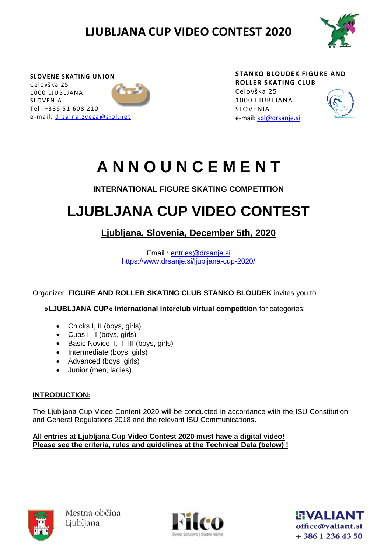

**SLOVENE SKATING UNION** Celovška 25 1000 LJ UBLJANA SLOVENIA Tel: +386 51 608 210 e-mail: drsalna.zveza@siol.net **STANKO BLOUDEK FIGURE AND ROLLER SKATING CLUB** Celovška 25 1000 LJUBLJANA SLOVENIA e-mail: [sbl@drsanje.si](mailto:sbl@drsanje.si)



# **A N N O U N C E M E N T**

### **INTERNATIONAL FIGURE SKATING COMPETITION**

# **LJUBLJANA CUP VIDEO CONTEST**

### **Ljubljana, Slovenia, December 5th, 2020**

Email : [entries@drsanje.si](mailto:entries@drsanje.si) <https://www.drsanje.si/ljubljana-cup-2020/>

Organizer **FIGURE AND ROLLER SKATING CLUB STANKO BLOUDEK** invites you to:

**»LJUBLJANA CUP« International interclub virtual competition** for categories:

- Chicks I, II (boys, girls)
- Cubs I, II (boys, girls)
- Basic Novice I, II, III (boys, girls)
- Intermediate (boys, girls)
- Advanced (boys, girls)
- Junior (men, ladies)

#### **INTRODUCTION:**

The Ljubljana Cup Video Content 2020 will be conducted in accordance with the ISU Constitution and General Regulations 2018 and the relevant ISU Communications**.**

#### **All entries at Ljubljana Cup Video Contest 2020 must have a digital video! Please see the criteria, rules and guidelines at the Technical Data (below) !**





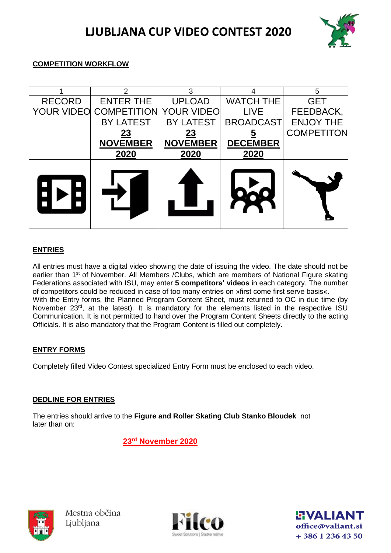

#### **COMPETITION WORKFLOW**

|               | 2                                        | 3                | 4                | 5                 |
|---------------|------------------------------------------|------------------|------------------|-------------------|
| <b>RECORD</b> | <b>ENTER THE</b>                         | <b>UPLOAD</b>    | <b>WATCH THE</b> | <b>GET</b>        |
|               | <b>YOUR VIDEO COMPETITION YOUR VIDEO</b> |                  | <b>LIVE</b>      | FEEDBACK,         |
|               | <b>BY LATEST</b>                         | <b>BY LATEST</b> | <b>BROADCAST</b> | <b>ENJOY THE</b>  |
|               | <u>23</u>                                | <u>23</u>        |                  | <b>COMPETITON</b> |
|               | <b>NOVEMBER</b>                          | <b>NOVEMBER</b>  | <b>DECEMBER</b>  |                   |
|               | 2020                                     | 2020             | 2020             |                   |
|               |                                          |                  |                  |                   |

#### **ENTRIES**

All entries must have a digital video showing the date of issuing the video. The date should not be earlier than 1<sup>st</sup> of November. All Members / Clubs, which are members of National Figure skating Federations associated with ISU, may enter **5 competitors' videos** in each category. The number of competitors could be reduced in case of too many entries on »first come first serve basis«. With the Entry forms, the Planned Program Content Sheet, must returned to OC in due time (by November 23<sup>rd</sup>, at the latest). It is mandatory for the elements listed in the respective ISU Communication. It is not permitted to hand over the Program Content Sheets directly to the acting Officials. It is also mandatory that the Program Content is filled out completely.

#### **ENTRY FORMS**

Completely filled Video Contest specialized Entry Form must be enclosed to each video.

#### **DEDLINE FOR ENTRIES**

The entries should arrive to the **Figure and Roller Skating Club Stanko Bloudek** not later than on:

 **23 rd November 2020**





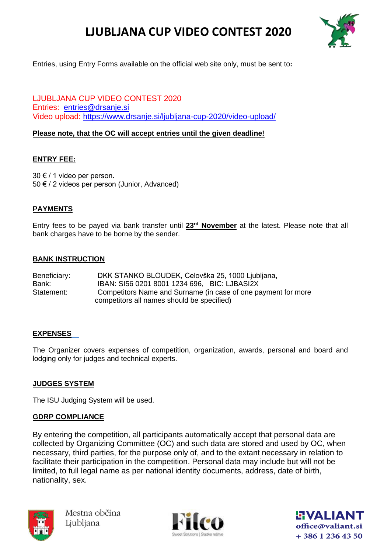

Entries, using Entry Forms available on the official web site only, must be sent to**:**

LJUBLJANA CUP VIDEO CONTEST 2020 Entries: [entries@drsanje.si](mailto:entries@drsanje.si) Video upload:<https://www.drsanje.si/ljubljana-cup-2020/video-upload/>

#### **Please note, that the OC will accept entries until the given deadline!**

#### **ENTRY FEE:**

30 € / 1 video per person. 50 € / 2 videos per person (Junior, Advanced)

#### **PAYMENTS**

Entry fees to be payed via bank transfer until **23rd November** at the latest. Please note that all bank charges have to be borne by the sender.

#### **BANK INSTRUCTION**

| Beneficiary: | DKK STANKO BLOUDEK, Celovška 25, 1000 Ljubljana,              |
|--------------|---------------------------------------------------------------|
| Bank:        | IBAN: SI56 0201 8001 1234 696, BIC: LJBASI2X                  |
| Statement:   | Competitors Name and Surname (in case of one payment for more |
|              | competitors all names should be specified)                    |

#### **EXPENSES**

The Organizer covers expenses of competition, organization, awards, personal and board and lodging only for judges and technical experts.

#### **JUDGES SYSTEM**

The ISU Judging System will be used.

#### **GDRP COMPLIANCE**

By entering the competition, all participants automatically accept that personal data are collected by Organizing Committee (OC) and such data are stored and used by OC, when necessary, third parties, for the purpose only of, and to the extant necessary in relation to facilitate their participation in the competition. Personal data may include but will not be limited, to full legal name as per national identity documents, address, date of birth, nationality, sex.





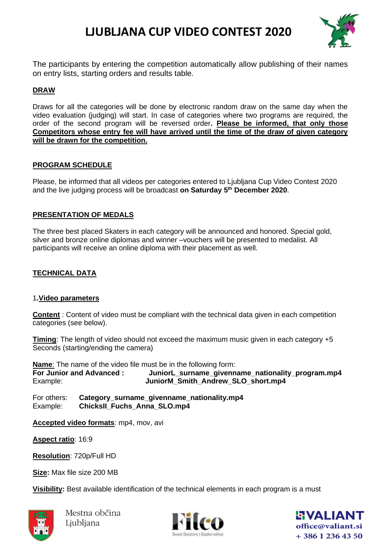

The participants by entering the competition automatically allow publishing of their names on entry lists, starting orders and results table.

#### **DRAW**

Draws for all the categories will be done by electronic random draw on the same day when the video evaluation (judging) will start. In case of categories where two programs are required, the order of the second program will be reversed order**. Please be informed, that only those Competitors whose entry fee will have arrived until the time of the draw of given category will be drawn for the competition.**

#### **PROGRAM SCHEDULE**

Please, be informed that all videos per categories entered to Ljubljana Cup Video Contest 2020 and the live judging process will be broadcast **on Saturday 5 th December 2020**.

#### **PRESENTATION OF MEDALS**

The three best placed Skaters in each category will be announced and honored. Special gold, silver and bronze online diplomas and winner –vouchers will be presented to medalist. All participants will receive an online diploma with their placement as well.

#### **TECHNICAL DATA**

#### 1**.Video parameters**

**Content** : Content of video must be compliant with the technical data given in each competition categories (see below).

**Timing**: The length of video should not exceed the maximum music given in each category +5 Seconds (starting/ending the camera)

**Name**: The name of the video file must be in the following form: **For Junior and Advanced : JuniorL\_surname\_givenname\_nationality\_program.mp4** Example: **JuniorM Smith Andrew SLO short.mp4** 

For others: **Category surname givenname nationality.mp4** Example: **ChicksII Fuchs Anna SLO.mp4** 

**Accepted video formats**: mp4, mov, avi

**Aspect ratio**: 16:9

**Resolution**: 720p/Full HD

**Size:** Max file size 200 MB

**Visibility:** Best available identification of the technical elements in each program is a must





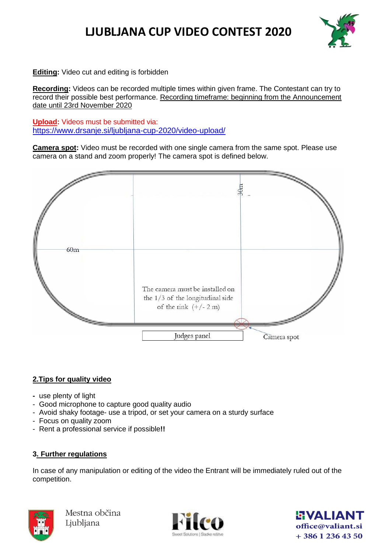

**Editing:** Video cut and editing is forbidden

**Recording:** Videos can be recorded multiple times within given frame. The Contestant can try to record their possible best performance. Recording timeframe: beginning from the Announcement date until 23rd November 2020

**Upload:** Videos must be submitted via: <https://www.drsanje.si/ljubljana-cup-2020/video-upload/>

**Camera spot:** Video must be recorded with one single camera from the same spot. Please use camera on a stand and zoom properly! The camera spot is defined below.



#### **2.Tips for quality video**

- use plenty of light
- Good microphone to capture good quality audio
- Avoid shaky footage- use a tripod, or set your camera on a sturdy surface
- Focus on quality zoom
- Rent a professional service if possible**!!**

#### **3. Further regulations**

In case of any manipulation or editing of the video the Entrant will be immediately ruled out of the competition.





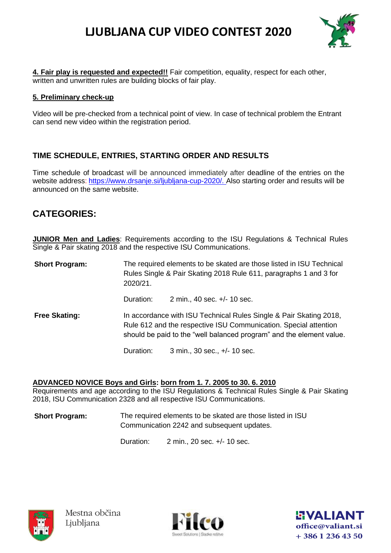

**4. Fair play is requested and expected!!** Fair competition, equality, respect for each other, written and unwritten rules are building blocks of fair play.

#### **5. Preliminary check-up**

Video will be pre-checked from a technical point of view. In case of technical problem the Entrant can send new video within the registration period.

#### **TIME SCHEDULE, ENTRIES, STARTING ORDER AND RESULTS**

Time schedule of broadcast will be announced immediately after deadline of the entries on the website address: [https://www.drsanje.si/ljubljana-cup-2020/.](https://www.drsanje.si/ljubljana-cup-2020/) Also starting order and results will be announced on the same website.

### **CATEGORIES:**

**JUNIOR Men and Ladies**: Requirements according to the ISU Regulations & Technical Rules Single & Pair skating 2018 and the respective ISU Communications.

**Short Program:** The required elements to be skated are those listed in ISU Technical Rules Single & Pair Skating 2018 Rule 611, paragraphs 1 and 3 for 2020/21.

Duration: 2 min., 40 sec. +/- 10 sec.

**Free Skating:** In accordance with ISU Technical Rules Single & Pair Skating 2018, Rule 612 and the respective ISU Communication. Special attention should be paid to the "well balanced program" and the element value.

Duration: 3 min., 30 sec., +/- 10 sec.

#### **ADVANCED NOVICE Boys and Girls: born from 1. 7. 2005 to 30. 6. 2010**

Requirements and age according to the ISU Regulations & Technical Rules Single & Pair Skating 2018, ISU Communication 2328 and all respective ISU Communications.

**Short Program:** The required elements to be skated are those listed in ISU Communication 2242 and subsequent updates.

Duration: 2 min., 20 sec. +/- 10 sec.





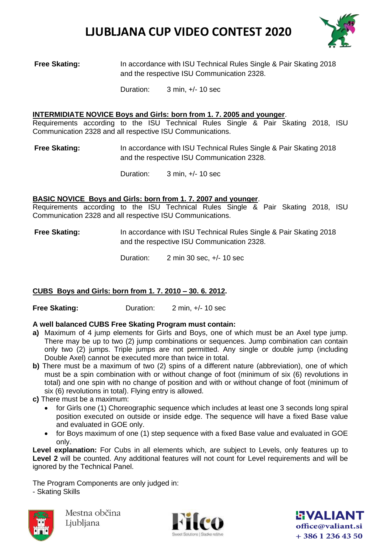

**Free Skating:** In accordance with ISU Technical Rules Single & Pair Skating 2018 and the respective ISU Communication 2328.

Duration: 3 min, +/- 10 sec

#### **INTERMIDIATE NOVICE Boys and Girls: born from 1. 7. 2005 and younger**.

Requirements according to the ISU Technical Rules Single & Pair Skating 2018, ISU Communication 2328 and all respective ISU Communications.

**Free Skating:** In accordance with ISU Technical Rules Single & Pair Skating 2018 and the respective ISU Communication 2328.

Duration: 3 min, +/- 10 sec

#### **BASIC NOVICE Boys and Girls: born from 1. 7. 2007 and younger**.

Requirements according to the ISU Technical Rules Single & Pair Skating 2018, ISU Communication 2328 and all respective ISU Communications.

#### **Free Skating:** In accordance with ISU Technical Rules Single & Pair Skating 2018 and the respective ISU Communication 2328.

Duration: 2 min 30 sec, +/- 10 sec

#### **CUBS Boys and Girls: born from 1. 7. 2010 – 30. 6. 2012.**

**Free Skating:** Duration: 2 min, +/-10 sec

#### **A well balanced CUBS Free Skating Program must contain:**

- **a)** Maximum of 4 jump elements for Girls and Boys, one of which must be an Axel type jump. There may be up to two (2) jump combinations or sequences. Jump combination can contain only two (2) jumps. Triple jumps are not permitted. Any single or double jump (including Double Axel) cannot be executed more than twice in total.
- **b)** There must be a maximum of two (2) spins of a different nature (abbreviation), one of which must be a spin combination with or without change of foot (minimum of six (6) revolutions in total) and one spin with no change of position and with or without change of foot (minimum of six (6) revolutions in total). Flying entry is allowed.
- **c)** There must be a maximum:
	- for Girls one (1) Choreographic sequence which includes at least one 3 seconds long spiral position executed on outside or inside edge. The sequence will have a fixed Base value and evaluated in GOE only.
	- for Boys maximum of one (1) step sequence with a fixed Base value and evaluated in GOE only.

**Level explanation:** For Cubs in all elements which, are subject to Levels, only features up to Level 2 will be counted. Any additional features will not count for Level requirements and will be ignored by the Technical Panel.

The Program Components are only judged in: - Skating Skills